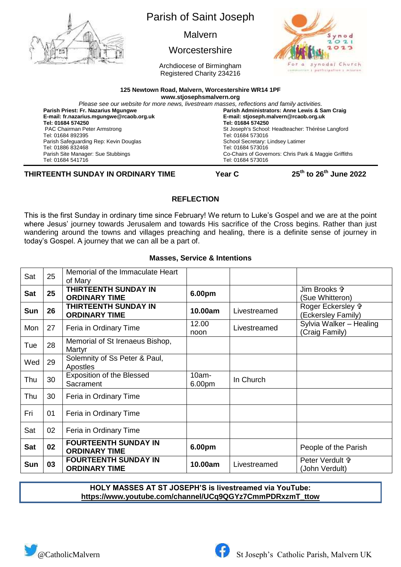

# Parish of Saint Joseph

Malvern

## **Worcestershire**

Archdiocese of Birmingham Registered Charity 234216



#### **125 Newtown Road, Malvern, Worcestershire WR14 1PF**

**[www.stjosephsmalvern.org](http://www.stjosephsmalvern.org/)**

| Please see our website for more news, livestream masses, reflections and family activities. |                                                       |  |  |  |  |
|---------------------------------------------------------------------------------------------|-------------------------------------------------------|--|--|--|--|
| Parish Priest: Fr. Nazarius Mgungwe                                                         | Parish Administrators: Anne Lewis & Sam Craig         |  |  |  |  |
| E-mail: fr.nazarius.mgungwe@rcaob.org.uk                                                    | E-mail: stjoseph.malvern@rcaob.org.uk                 |  |  |  |  |
| Tel: 01684 574250                                                                           | Tel: 01684 574250                                     |  |  |  |  |
| <b>PAC Chairman Peter Armstrong</b>                                                         | St Joseph's School: Headteacher: Thérèse Langford     |  |  |  |  |
| Tel: 01684 892395                                                                           | Tel: 01684 573016                                     |  |  |  |  |
| Parish Safeguarding Rep: Kevin Douglas                                                      | School Secretary: Lindsey Latimer                     |  |  |  |  |
| Tel: 01886 832468                                                                           | Tel: 01684 573016                                     |  |  |  |  |
| Parish Site Manager: Sue Stubbings                                                          | Co-Chairs of Governors: Chris Park & Maggie Griffiths |  |  |  |  |
| Tel: 01684 541716                                                                           | Tel: 01684 573016                                     |  |  |  |  |

**THIRTEENTH SUNDAY IN ORDINARY TIME Year C 25th**

**to 26th June 2022**

## **REFLECTION**

This is the first Sunday in ordinary time since February! We return to Luke's Gospel and we are at the point where Jesus' journey towards Jerusalem and towards His sacrifice of the Cross begins. Rather than just wandering around the towns and villages preaching and healing, there is a definite sense of journey in today's Gospel. A journey that we can all be a part of.

### **Masses, Service & Intentions**

| Sat        | 25 | Memorial of the Immaculate Heart<br>of Mary         |                    |              |                                                    |
|------------|----|-----------------------------------------------------|--------------------|--------------|----------------------------------------------------|
| <b>Sat</b> | 25 | <b>THIRTEENTH SUNDAY IN</b><br><b>ORDINARY TIME</b> | 6.00pm             |              | Jim Brooks f<br>(Sue Whitteron)                    |
| Sun        | 26 | THIRTEENTH SUNDAY IN<br><b>ORDINARY TIME</b>        | 10.00am            | Livestreamed | Roger Eckersley <sup>+</sup><br>(Eckersley Family) |
| Mon        | 27 | Feria in Ordinary Time                              | 12.00<br>noon      | Livestreamed | Sylvia Walker - Healing<br>(Craig Family)          |
| Tue        | 28 | Memorial of St Irenaeus Bishop,<br>Martyr           |                    |              |                                                    |
| Wed        | 29 | Solemnity of Ss Peter & Paul,<br>Apostles           |                    |              |                                                    |
| Thu        | 30 | <b>Exposition of the Blessed</b><br>Sacrament       | $10am -$<br>6.00pm | In Church    |                                                    |
| Thu        | 30 | Feria in Ordinary Time                              |                    |              |                                                    |
| Fri        | 01 | Feria in Ordinary Time                              |                    |              |                                                    |
| Sat        | 02 | Feria in Ordinary Time                              |                    |              |                                                    |
| <b>Sat</b> | 02 | <b>FOURTEENTH SUNDAY IN</b><br><b>ORDINARY TIME</b> | 6.00pm             |              | People of the Parish                               |
| Sun        | 03 | <b>FOURTEENTH SUNDAY IN</b><br><b>ORDINARY TIME</b> | 10.00am            | Livestreamed | Peter Verdult \$<br>(John Verdult)                 |

### **HOLY MASSES AT ST JOSEPH'S is livestreamed via YouTube: https://www.youtube.com/channel/UCq9QGYz7CmmPDRxzmT\_ttow**